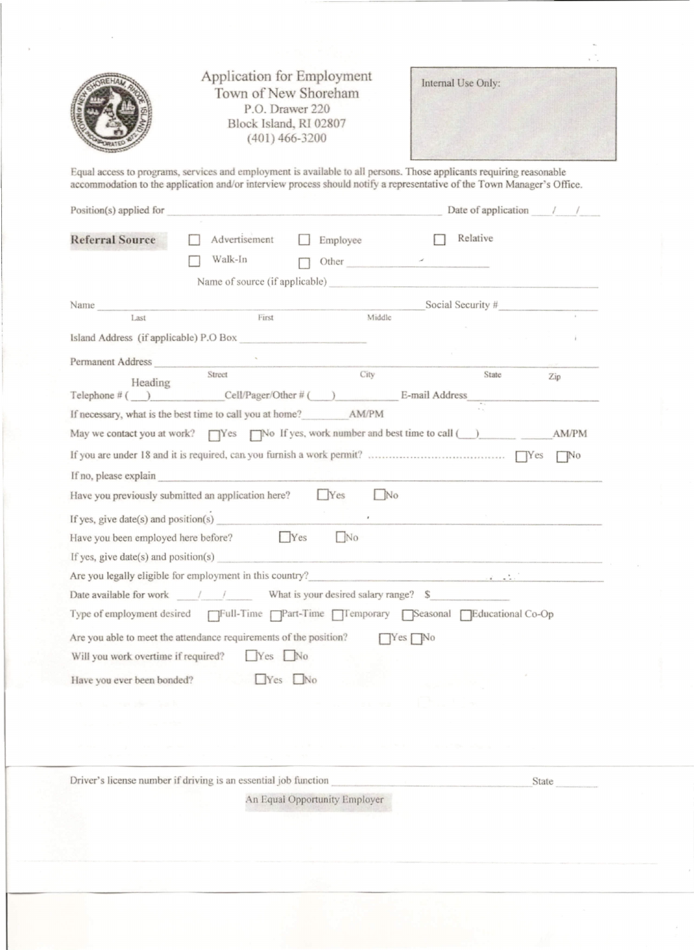| Application for Employment<br>Town of New Shoreham<br>P.O. Drawer 220<br>Block Island, RI 02807<br>$(401)$ 466-3200                                                                                                                            | Internal Use Only:                  |  |  |
|------------------------------------------------------------------------------------------------------------------------------------------------------------------------------------------------------------------------------------------------|-------------------------------------|--|--|
| Equal access to programs, services and employment is available to all persons. Those applicants requiring reasonable<br>accommodation to the application and/or interview process should notify a representative of the Town Manager's Office. |                                     |  |  |
| Position(s) applied for                                                                                                                                                                                                                        | Date of application $\frac{1}{1}$ / |  |  |
| Advertisement<br><b>Referral Source</b><br>Employee<br>$\mathbf{1}$<br>Walk-In<br>Other $\overline{\phantom{a}}$                                                                                                                               | Relative                            |  |  |
| Name of source (if applicable)                                                                                                                                                                                                                 |                                     |  |  |
| Name                                                                                                                                                                                                                                           | Social Security #                   |  |  |
| First<br>Middle<br>Last                                                                                                                                                                                                                        |                                     |  |  |
| Island Address (if applicable) P.O Box                                                                                                                                                                                                         |                                     |  |  |
| Permanent Address                                                                                                                                                                                                                              |                                     |  |  |
| City<br>Street<br>Heading                                                                                                                                                                                                                      | State<br>Zip                        |  |  |
| Telephone $\#$ ( ) Cell/Pager/Other $\#$ ( ) E-mail Address<br>If necessary, what is the best time to call you at home? AM/PM                                                                                                                  |                                     |  |  |
| May we contact you at work? TVes TNo If yes, work number and best time to call (New York)                                                                                                                                                      |                                     |  |  |
|                                                                                                                                                                                                                                                |                                     |  |  |
| If no, please explain                                                                                                                                                                                                                          |                                     |  |  |
| Yes<br>$\mathbb{N}^{\circ}$<br>Have you previously submitted an application here?                                                                                                                                                              |                                     |  |  |
| If yes, give date(s) and position(s)                                                                                                                                                                                                           |                                     |  |  |
| Yes<br>N <sub>0</sub><br>Have you been employed here before?<br>and the state of the state                                                                                                                                                     |                                     |  |  |
| If yes, give $date(s)$ and position(s)                                                                                                                                                                                                         |                                     |  |  |
| Are you legally eligible for employment in this country?                                                                                                                                                                                       |                                     |  |  |
|                                                                                                                                                                                                                                                |                                     |  |  |
| Type of employment desired FFull-Time FPart-Time FTFemporary FSeasonal FEducational Co-Op                                                                                                                                                      |                                     |  |  |
| Are you able to meet the attendance requirements of the position?<br>$Yes$ No                                                                                                                                                                  |                                     |  |  |
| Will you work overtime if required?<br>$Yes$ No                                                                                                                                                                                                |                                     |  |  |
| Have you ever been bonded? No No                                                                                                                                                                                                               |                                     |  |  |
| the country when the country of the                                                                                                                                                                                                            |                                     |  |  |
|                                                                                                                                                                                                                                                |                                     |  |  |
| The first control of the Control of the Control of the                                                                                                                                                                                         |                                     |  |  |

Driver's license number if driving is an essential job function

State

An Equal Opportunity Employer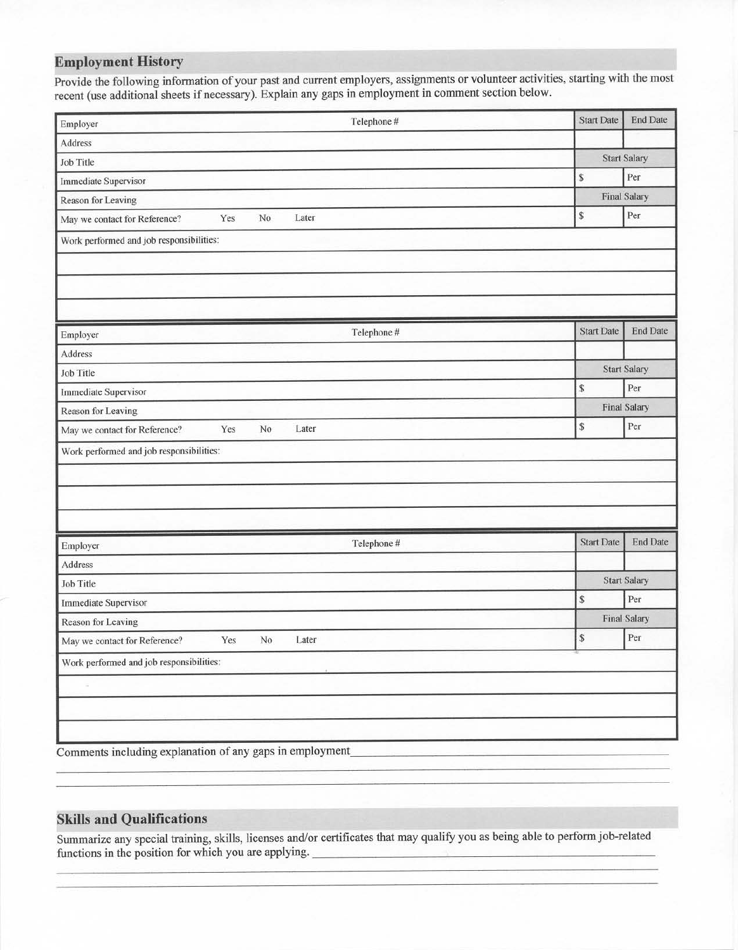## **Employment History**

Provide the following information of your past and current employers, assignments or volunteer activities, starting with the most recent (use additional sheets if necessary). Explain any gaps in employment in comment section below.

| Employer                                                 |     |                |       | Telephone # | <b>Start Date</b> | <b>End Date</b>     |  |
|----------------------------------------------------------|-----|----------------|-------|-------------|-------------------|---------------------|--|
| Address                                                  |     |                |       |             |                   |                     |  |
| Job Title                                                |     |                |       |             |                   | <b>Start Salary</b> |  |
| <b>Immediate Supervisor</b>                              |     |                |       |             | \$                | Per                 |  |
| Reason for Leaving                                       |     |                |       |             |                   | <b>Final Salary</b> |  |
| May we contact for Reference?                            | Yes | No             | Later |             | \$                | Per                 |  |
| Work performed and job responsibilities:                 |     |                |       |             |                   |                     |  |
|                                                          |     |                |       |             |                   |                     |  |
|                                                          |     |                |       |             |                   |                     |  |
|                                                          |     |                |       |             |                   |                     |  |
| Employer                                                 |     |                |       | Telephone # | <b>Start Date</b> | <b>End Date</b>     |  |
| Address                                                  |     |                |       |             |                   |                     |  |
| Job Title                                                |     |                |       |             |                   | <b>Start Salary</b> |  |
| <b>Immediate Supervisor</b>                              |     |                |       |             | ${\mathbb S}$     | Per                 |  |
| <b>Reason for Leaving</b>                                |     |                |       |             |                   | <b>Final Salary</b> |  |
| May we contact for Reference?                            | Yes | No             | Later |             | \$                | Per                 |  |
| Work performed and job responsibilities:                 |     |                |       |             |                   |                     |  |
|                                                          |     |                |       |             |                   |                     |  |
|                                                          |     |                |       |             |                   |                     |  |
|                                                          |     |                |       |             |                   |                     |  |
| Employer                                                 |     |                |       | Telephone # | <b>Start Date</b> | <b>End Date</b>     |  |
| Address                                                  |     |                |       |             |                   |                     |  |
| <b>Job Title</b>                                         |     |                |       |             |                   | <b>Start Salary</b> |  |
| <b>Immediate Supervisor</b>                              |     |                |       |             | $\mathbb S$       | Per                 |  |
| Reason for Leaving                                       |     |                |       |             |                   | <b>Final Salary</b> |  |
| May we contact for Reference?                            | Yes | N <sub>o</sub> | Later |             | \$                | Per                 |  |
| Work performed and job responsibilities:                 |     |                |       |             |                   |                     |  |
|                                                          |     |                |       |             |                   |                     |  |
|                                                          |     |                |       |             |                   |                     |  |
|                                                          |     |                |       |             |                   |                     |  |
| Comments including explanation of any gaps in employment |     |                |       |             |                   |                     |  |

## **Skills and Qualifications**

Summarize any special training, skills, licenses and/or certificates that may qualify you as being able to perform job-related functions in the position for which you are applying.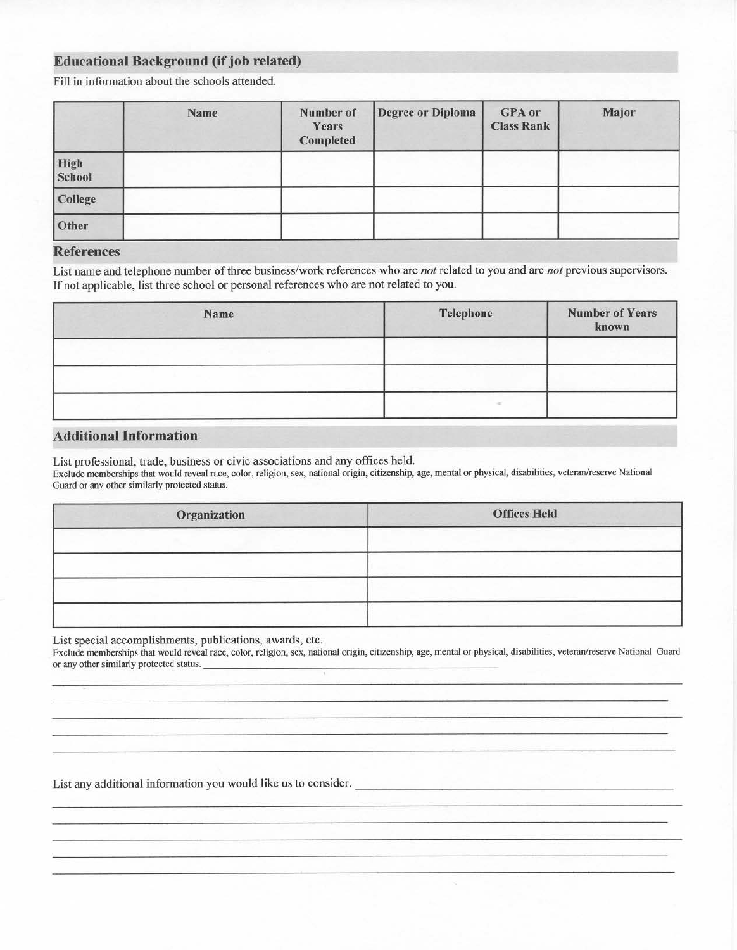### **Educational Background (if job related)**

Fill in information about the schools attended.

|                       | Name | Number of<br>Years<br>Completed | <b>Degree or Diploma</b> | <b>GPA</b> or<br><b>Class Rank</b> | Major |
|-----------------------|------|---------------------------------|--------------------------|------------------------------------|-------|
| High<br><b>School</b> |      |                                 |                          |                                    |       |
| College               |      |                                 |                          |                                    |       |
| Other                 |      |                                 |                          |                                    |       |

#### **References**

List name and telephone number of three business/work references who are not related to you and are not previous supervisors. If not applicable, list three school or personal references who are not related to you.

| Name | Telephone | <b>Number of Years</b><br>known |
|------|-----------|---------------------------------|
|      |           |                                 |
|      |           |                                 |
|      |           |                                 |

#### **Additional Information**

List professional, trade, business or civic associations and any offices held.

Exclude memberships that would reveal race, color, religion, sex, national origin, citizenship, age, mental or physical, disabilities, veteran/reserve National Guard or any other similarly protected status.

| Organization | <b>Offices Held</b> |
|--------------|---------------------|
|              |                     |
|              |                     |
|              |                     |
|              |                     |

List special accomplishments, publications, awards, etc.

Exclude memberships that would reveal race, color, religion, sex, national origin, citizenship, age, mental or physical, disabilities, veteran/reserve National Guard or any other similarly protected status.

List any additional information you would like us to consider.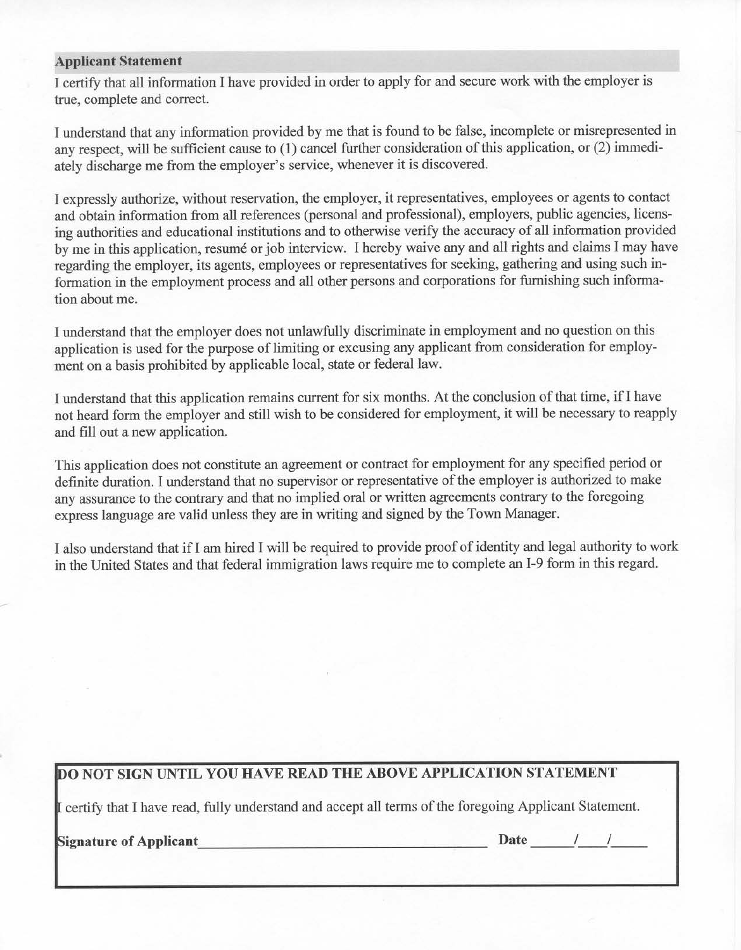#### **Applicant Statement**

I certify that all information I have provided in order to apply for and secure work with the employer is true, complete and correct.

I understand that any information provided by me that is found to be false, incomplete or misrepresented in any respect, will be sufficient cause to (1) cancel further consideration of this application, or (2) immediately discharge me from the employer's service, whenever it is discovered.

I expressly authorize, without reservation, the employer, it representatives, employees or agents to contact and obtain information from all references (personal and professional), employers, public agencies, licensing authorities and educational institutions and to otherwise verify the accuracy of all information provided by me in this application, resumé or job interview. I hereby waive any and all rights and claims I may have regarding the employer, its agents, employees or representatives for seeking, gathering and using such information in the employment process and all other persons and corporations for furnishing such information about me.

I understand that the employer does not unlawfully discriminate in employment and no question on this application is used for the purpose of limiting or excusing any applicant from consideration for employment on a basis prohibited by applicable local, state or federal law.

I understand that this application remains current for six months. At the conclusion of that time, if I have not heard form the employer and still wish to be considered for employment, it will be necessary to reapply and fill out a new application.

This application does not constitute an agreement or contract for employment for any specified period or definite duration. I understand that no supervisor or representative of the employer is authorized to make any assurance to the contrary and that no implied oral or written agreements contrary to the foregoing express language are valid unless they are in writing and signed by the Town Manager.

I also understand that if I am hired I will be required to provide proof of identity and legal authority to work in the United States and that federal immigration laws require me to complete an I-9 form in this regard.

## DO NOT SIGN UNTIL YOU HAVE READ THE ABOVE APPLICATION STATEMENT

I certify that I have read, fully understand and accept all terms of the foregoing Applicant Statement.

**Signature of Applicant** Signature of Applicant

Date